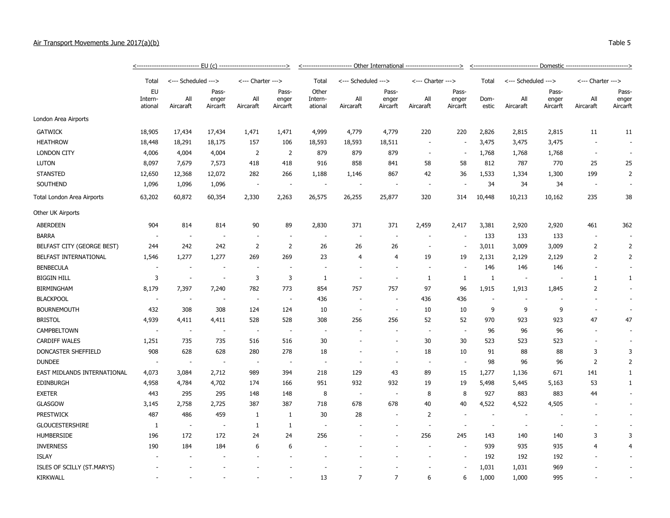| Air Transport Movements June 2017(a)(b) |        |                     |                 | Table 5 |
|-----------------------------------------|--------|---------------------|-----------------|---------|
|                                         |        |                     |                 |         |
|                                         | E11(A) | Othor Intornational | <b>Domoctic</b> |         |

|                             |                          |                          |                |                          |                          | <----------------------- Other International ------------------------> |                          |                          |                          |                          |        |                          |                |                          |                |
|-----------------------------|--------------------------|--------------------------|----------------|--------------------------|--------------------------|------------------------------------------------------------------------|--------------------------|--------------------------|--------------------------|--------------------------|--------|--------------------------|----------------|--------------------------|----------------|
|                             | Total                    | <--- Scheduled --->      |                | <--- Charter --->        |                          | Total                                                                  | <--- Scheduled --->      |                          | <--- Charter --->        |                          | Total  | <--- Scheduled --->      |                | <--- Charter --->        |                |
|                             | EU<br>Intern-            | All                      | Pass-<br>enger | All                      | Pass-<br>enger           | Other<br>Intern-                                                       | All                      | Pass-<br>enger           | All                      | Pass-<br>enger           | Dom-   | All                      | Pass-<br>enger | All                      | Pass-<br>enger |
|                             | ational                  | Aircaraft                | Aircarft       | Aircaraft                | Aircarft                 | ational                                                                | Aircaraft                | Aircarft                 | Aircaraft                | Aircarft                 | estic  | Aircaraft                | Aircarft       | Aircaraft                | Aircarft       |
| London Area Airports        |                          |                          |                |                          |                          |                                                                        |                          |                          |                          |                          |        |                          |                |                          |                |
| <b>GATWICK</b>              | 18,905                   | 17,434                   | 17,434         | 1,471                    | 1,471                    | 4,999                                                                  | 4,779                    | 4,779                    | 220                      | 220                      | 2,826  | 2,815                    | 2,815          | 11                       | 11             |
| <b>HEATHROW</b>             | 18,448                   | 18,291                   | 18,175         | 157                      | 106                      | 18,593                                                                 | 18,593                   | 18,511                   | ÷.                       | $\overline{\phantom{a}}$ | 3,475  | 3,475                    | 3,475          |                          |                |
| <b>LONDON CITY</b>          | 4,006                    | 4,004                    | 4,004          | 2                        | $\overline{2}$           | 879                                                                    | 879                      | 879                      | $\overline{a}$           | $\overline{\phantom{a}}$ | 1,768  | 1,768                    | 1,768          |                          |                |
| <b>LUTON</b>                | 8,097                    | 7,679                    | 7,573          | 418                      | 418                      | 916                                                                    | 858                      | 841                      | 58                       | 58                       | 812    | 787                      | 770            | 25                       | 25             |
| <b>STANSTED</b>             | 12,650                   | 12,368                   | 12,072         | 282                      | 266                      | 1,188                                                                  | 1,146                    | 867                      | 42                       | 36                       | 1,533  | 1,334                    | 1,300          | 199                      | $\overline{2}$ |
| SOUTHEND                    | 1,096                    | 1,096                    | 1,096          | $\overline{\phantom{a}}$ | $\sim$                   | $\sim$                                                                 | $\overline{\phantom{a}}$ | $\sim$                   | $\overline{\phantom{a}}$ |                          | 34     | 34                       | 34             | $\overline{\phantom{a}}$ |                |
| Total London Area Airports  | 63,202                   | 60,872                   | 60,354         | 2,330                    | 2,263                    | 26,575                                                                 | 26,255                   | 25,877                   | 320                      | 314                      | 10,448 | 10,213                   | 10,162         | 235                      | 38             |
| Other UK Airports           |                          |                          |                |                          |                          |                                                                        |                          |                          |                          |                          |        |                          |                |                          |                |
| <b>ABERDEEN</b>             | 904                      | 814                      | 814            | 90                       | 89                       | 2,830                                                                  | 371                      | 371                      | 2,459                    | 2,417                    | 3,381  | 2,920                    | 2,920          | 461                      | 362            |
| <b>BARRA</b>                | $\overline{\phantom{a}}$ | $\overline{\phantom{a}}$ |                |                          |                          | $\sim$                                                                 | $\overline{\phantom{a}}$ | $\overline{\phantom{a}}$ | $\overline{\phantom{a}}$ | $\overline{\phantom{a}}$ | 133    | 133                      | 133            | ٠.                       |                |
| BELFAST CITY (GEORGE BEST)  | 244                      | 242                      | 242            | $\overline{2}$           | $\overline{2}$           | 26                                                                     | 26                       | 26                       | $\overline{a}$           | $\overline{\phantom{a}}$ | 3,011  | 3,009                    | 3,009          | $\overline{2}$           | $\overline{2}$ |
| BELFAST INTERNATIONAL       | 1,546                    | 1,277                    | 1,277          | 269                      | 269                      | 23                                                                     | $\overline{4}$           | $\overline{4}$           | 19                       | 19                       | 2,131  | 2,129                    | 2,129          | 2                        | $\overline{2}$ |
| <b>BENBECULA</b>            | ÷.                       | ÷.                       |                | ÷.                       | $\overline{a}$           | $\sim$                                                                 | ÷.                       | ٠                        | ä,                       | $\overline{\phantom{a}}$ | 146    | 146                      | 146            | $\overline{\phantom{a}}$ | $\sim$         |
| <b>BIGGIN HILL</b>          | 3                        | $\sim$                   | $\sim$         | 3                        | 3                        | 1                                                                      | $\overline{\phantom{a}}$ | $\sim$                   | 1                        | 1                        | -1     | $\sim$                   | $\sim$         | 1                        | $\mathbf{1}$   |
| <b>BIRMINGHAM</b>           | 8,179                    | 7,397                    | 7,240          | 782                      | 773                      | 854                                                                    | 757                      | 757                      | 97                       | 96                       | 1,915  | 1,913                    | 1,845          | 2                        |                |
| <b>BLACKPOOL</b>            | $\overline{\phantom{a}}$ |                          |                | $\overline{\phantom{a}}$ |                          | 436                                                                    |                          |                          | 436                      | 436                      |        |                          |                |                          |                |
| <b>BOURNEMOUTH</b>          | 432                      | 308                      | 308            | 124                      | 124                      | 10                                                                     | $\sim$                   | $\sim$                   | 10                       | 10                       | 9      | 9                        | 9              | $\overline{\phantom{a}}$ |                |
| <b>BRISTOL</b>              | 4,939                    | 4,411                    | 4,411          | 528                      | 528                      | 308                                                                    | 256                      | 256                      | 52                       | 52                       | 970    | 923                      | 923            | 47                       | 47             |
| CAMPBELTOWN                 | $\overline{\phantom{a}}$ | $\overline{\phantom{a}}$ |                | $\sim$                   | $\overline{\phantom{a}}$ | $\sim$                                                                 |                          | $\blacksquare$           | ÷,                       | $\sim$                   | 96     | 96                       | 96             |                          |                |
| <b>CARDIFF WALES</b>        | 1,251                    | 735                      | 735            | 516                      | 516                      | 30                                                                     |                          |                          | 30                       | 30                       | 523    | 523                      | 523            | $\overline{\phantom{a}}$ | $\sim$         |
| DONCASTER SHEFFIELD         | 908                      | 628                      | 628            | 280                      | 278                      | 18                                                                     | ٠                        | $\overline{\phantom{a}}$ | 18                       | 10                       | 91     | 88                       | 88             | 3                        | 3              |
| <b>DUNDEE</b>               | $\overline{\phantom{a}}$ |                          |                | $\overline{\phantom{a}}$ |                          | $\sim$                                                                 |                          | ٠                        | $\overline{\phantom{a}}$ | $\sim$                   | 98     | 96                       | 96             | $\overline{2}$           | $\overline{2}$ |
| EAST MIDLANDS INTERNATIONAL | 4,073                    | 3,084                    | 2,712          | 989                      | 394                      | 218                                                                    | 129                      | 43                       | 89                       | 15                       | 1,277  | 1,136                    | 671            | 141                      | $\mathbf{1}$   |
| <b>EDINBURGH</b>            | 4,958                    | 4,784                    | 4,702          | 174                      | 166                      | 951                                                                    | 932                      | 932                      | 19                       | 19                       | 5,498  | 5,445                    | 5,163          | 53                       | $\mathbf{1}$   |
| <b>EXETER</b>               | 443                      | 295                      | 295            | 148                      | 148                      | 8                                                                      | $\overline{\phantom{a}}$ | $\overline{\phantom{a}}$ | 8                        | 8                        | 927    | 883                      | 883            | 44                       | $\sim$         |
| GLASGOW                     | 3,145                    | 2,758                    | 2,725          | 387                      | 387                      | 718                                                                    | 678                      | 678                      | 40                       | 40                       | 4,522  | 4,522                    | 4,505          |                          |                |
| <b>PRESTWICK</b>            | 487                      | 486                      | 459            | $\mathbf{1}$             | 1                        | 30                                                                     | 28                       | $\sim$                   | 2                        | $\overline{\phantom{a}}$ | $\sim$ | $\overline{\phantom{a}}$ |                |                          |                |
| <b>GLOUCESTERSHIRE</b>      | 1                        | $\overline{\phantom{a}}$ |                | $\mathbf{1}$             | $\mathbf{1}$             | $\sim$                                                                 |                          |                          | $\overline{\phantom{a}}$ |                          |        |                          |                |                          |                |
| <b>HUMBERSIDE</b>           | 196                      | 172                      | 172            | 24                       | 24                       | 256                                                                    |                          |                          | 256                      | 245                      | 143    | 140                      | 140            | 3                        | 3              |
| <b>INVERNESS</b>            | 190                      | 184                      | 184            | 6                        | 6                        |                                                                        |                          |                          |                          |                          | 939    | 935                      | 935            | $\overline{4}$           | 4              |
| <b>ISLAY</b>                |                          |                          |                |                          |                          |                                                                        |                          |                          |                          | $\overline{\phantom{a}}$ | 192    | 192                      | 192            |                          |                |
| ISLES OF SCILLY (ST.MARYS)  |                          |                          |                |                          |                          |                                                                        |                          |                          |                          |                          | 1,031  | 1,031                    | 969            |                          |                |
| <b>KIRKWALL</b>             |                          |                          |                |                          |                          | 13                                                                     | $\overline{7}$           | $\overline{7}$           | 6                        | 6                        | 1,000  | 1,000                    | 995            |                          |                |